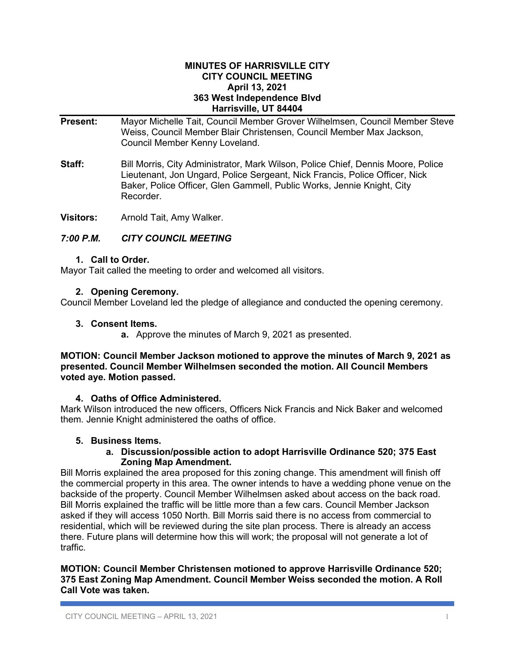#### **MINUTES OF HARRISVILLE CITY CITY COUNCIL MEETING April 13, 2021 363 West Independence Blvd Harrisville, UT 84404**

- **Present:** Mayor Michelle Tait, Council Member Grover Wilhelmsen, Council Member Steve Weiss, Council Member Blair Christensen, Council Member Max Jackson, Council Member Kenny Loveland.
- **Staff:** Bill Morris, City Administrator, Mark Wilson, Police Chief, Dennis Moore, Police Lieutenant, Jon Ungard, Police Sergeant, Nick Francis, Police Officer, Nick Baker, Police Officer, Glen Gammell, Public Works, Jennie Knight, City Recorder.

**Visitors:** Arnold Tait, Amy Walker.

## *7:00 P.M. CITY COUNCIL MEETING*

#### **1. Call to Order.**

Mayor Tait called the meeting to order and welcomed all visitors.

#### **2. Opening Ceremony.**

Council Member Loveland led the pledge of allegiance and conducted the opening ceremony.

#### **3. Consent Items.**

**a.** Approve the minutes of March 9, 2021 as presented.

#### **MOTION: Council Member Jackson motioned to approve the minutes of March 9, 2021 as presented. Council Member Wilhelmsen seconded the motion. All Council Members voted aye. Motion passed.**

## **4. Oaths of Office Administered.**

Mark Wilson introduced the new officers, Officers Nick Francis and Nick Baker and welcomed them. Jennie Knight administered the oaths of office.

## **5. Business Items.**

#### **a. Discussion/possible action to adopt Harrisville Ordinance 520; 375 East Zoning Map Amendment.**

Bill Morris explained the area proposed for this zoning change. This amendment will finish off the commercial property in this area. The owner intends to have a wedding phone venue on the backside of the property. Council Member Wilhelmsen asked about access on the back road. Bill Morris explained the traffic will be little more than a few cars. Council Member Jackson asked if they will access 1050 North. Bill Morris said there is no access from commercial to residential, which will be reviewed during the site plan process. There is already an access there. Future plans will determine how this will work; the proposal will not generate a lot of traffic.

**MOTION: Council Member Christensen motioned to approve Harrisville Ordinance 520; 375 East Zoning Map Amendment. Council Member Weiss seconded the motion. A Roll Call Vote was taken.**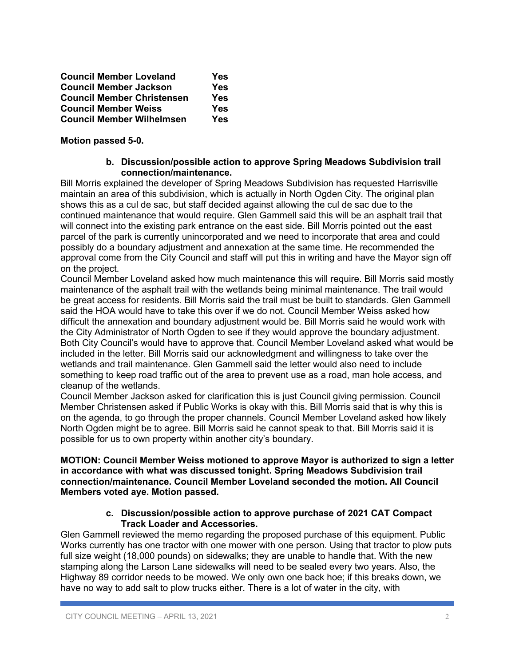| <b>Council Member Loveland</b>    | Yes |
|-----------------------------------|-----|
| <b>Council Member Jackson</b>     | Yes |
| <b>Council Member Christensen</b> | Yes |
| <b>Council Member Weiss</b>       | Yes |
| <b>Council Member Wilhelmsen</b>  | Yes |

## **Motion passed 5-0.**

#### **b. Discussion/possible action to approve Spring Meadows Subdivision trail connection/maintenance.**

Bill Morris explained the developer of Spring Meadows Subdivision has requested Harrisville maintain an area of this subdivision, which is actually in North Ogden City. The original plan shows this as a cul de sac, but staff decided against allowing the cul de sac due to the continued maintenance that would require. Glen Gammell said this will be an asphalt trail that will connect into the existing park entrance on the east side. Bill Morris pointed out the east parcel of the park is currently unincorporated and we need to incorporate that area and could possibly do a boundary adjustment and annexation at the same time. He recommended the approval come from the City Council and staff will put this in writing and have the Mayor sign off on the project.

Council Member Loveland asked how much maintenance this will require. Bill Morris said mostly maintenance of the asphalt trail with the wetlands being minimal maintenance. The trail would be great access for residents. Bill Morris said the trail must be built to standards. Glen Gammell said the HOA would have to take this over if we do not. Council Member Weiss asked how difficult the annexation and boundary adjustment would be. Bill Morris said he would work with the City Administrator of North Ogden to see if they would approve the boundary adjustment. Both City Council's would have to approve that. Council Member Loveland asked what would be included in the letter. Bill Morris said our acknowledgment and willingness to take over the wetlands and trail maintenance. Glen Gammell said the letter would also need to include something to keep road traffic out of the area to prevent use as a road, man hole access, and cleanup of the wetlands.

Council Member Jackson asked for clarification this is just Council giving permission. Council Member Christensen asked if Public Works is okay with this. Bill Morris said that is why this is on the agenda, to go through the proper channels. Council Member Loveland asked how likely North Ogden might be to agree. Bill Morris said he cannot speak to that. Bill Morris said it is possible for us to own property within another city's boundary.

#### **MOTION: Council Member Weiss motioned to approve Mayor is authorized to sign a letter in accordance with what was discussed tonight. Spring Meadows Subdivision trail connection/maintenance. Council Member Loveland seconded the motion. All Council Members voted aye. Motion passed.**

## **c. Discussion/possible action to approve purchase of 2021 CAT Compact Track Loader and Accessories.**

Glen Gammell reviewed the memo regarding the proposed purchase of this equipment. Public Works currently has one tractor with one mower with one person. Using that tractor to plow puts full size weight (18,000 pounds) on sidewalks; they are unable to handle that. With the new stamping along the Larson Lane sidewalks will need to be sealed every two years. Also, the Highway 89 corridor needs to be mowed. We only own one back hoe; if this breaks down, we have no way to add salt to plow trucks either. There is a lot of water in the city, with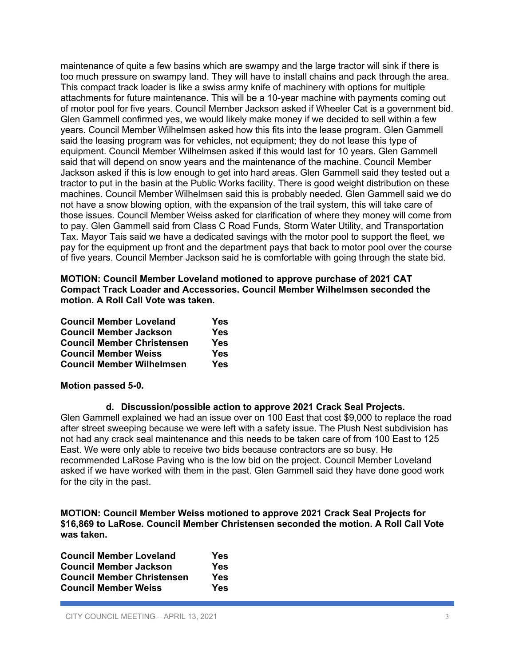maintenance of quite a few basins which are swampy and the large tractor will sink if there is too much pressure on swampy land. They will have to install chains and pack through the area. This compact track loader is like a swiss army knife of machinery with options for multiple attachments for future maintenance. This will be a 10-year machine with payments coming out of motor pool for five years. Council Member Jackson asked if Wheeler Cat is a government bid. Glen Gammell confirmed yes, we would likely make money if we decided to sell within a few years. Council Member Wilhelmsen asked how this fits into the lease program. Glen Gammell said the leasing program was for vehicles, not equipment; they do not lease this type of equipment. Council Member Wilhelmsen asked if this would last for 10 years. Glen Gammell said that will depend on snow years and the maintenance of the machine. Council Member Jackson asked if this is low enough to get into hard areas. Glen Gammell said they tested out a tractor to put in the basin at the Public Works facility. There is good weight distribution on these machines. Council Member Wilhelmsen said this is probably needed. Glen Gammell said we do not have a snow blowing option, with the expansion of the trail system, this will take care of those issues. Council Member Weiss asked for clarification of where they money will come from to pay. Glen Gammell said from Class C Road Funds, Storm Water Utility, and Transportation Tax. Mayor Tais said we have a dedicated savings with the motor pool to support the fleet, we pay for the equipment up front and the department pays that back to motor pool over the course of five years. Council Member Jackson said he is comfortable with going through the state bid.

**MOTION: Council Member Loveland motioned to approve purchase of 2021 CAT Compact Track Loader and Accessories. Council Member Wilhelmsen seconded the motion. A Roll Call Vote was taken.**

| <b>Council Member Loveland</b>    | Yes |
|-----------------------------------|-----|
| <b>Council Member Jackson</b>     | Yes |
| <b>Council Member Christensen</b> | Yes |
| <b>Council Member Weiss</b>       | Yes |
| <b>Council Member Wilhelmsen</b>  | Yes |

## **Motion passed 5-0.**

**d. Discussion/possible action to approve 2021 Crack Seal Projects.**

Glen Gammell explained we had an issue over on 100 East that cost \$9,000 to replace the road after street sweeping because we were left with a safety issue. The Plush Nest subdivision has not had any crack seal maintenance and this needs to be taken care of from 100 East to 125 East. We were only able to receive two bids because contractors are so busy. He recommended LaRose Paving who is the low bid on the project. Council Member Loveland asked if we have worked with them in the past. Glen Gammell said they have done good work for the city in the past.

**MOTION: Council Member Weiss motioned to approve 2021 Crack Seal Projects for \$16,869 to LaRose. Council Member Christensen seconded the motion. A Roll Call Vote was taken.**

| <b>Council Member Loveland</b>    | Yes |
|-----------------------------------|-----|
| <b>Council Member Jackson</b>     | Yes |
| <b>Council Member Christensen</b> | Yes |
| <b>Council Member Weiss</b>       | Yes |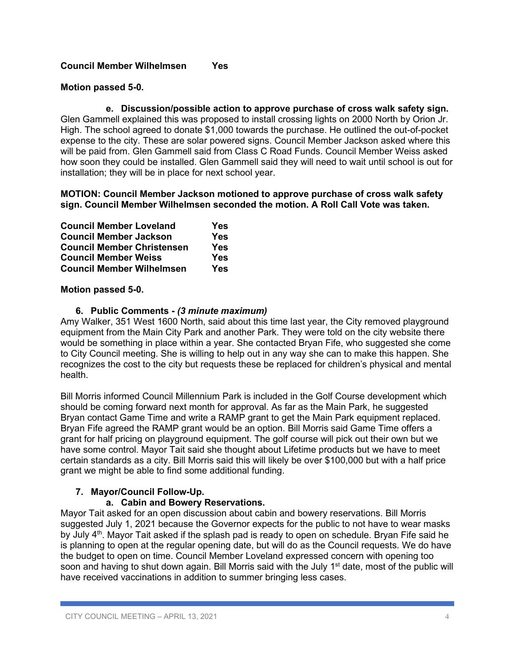## **Council Member Wilhelmsen Yes**

## **Motion passed 5-0.**

**e. Discussion/possible action to approve purchase of cross walk safety sign.** Glen Gammell explained this was proposed to install crossing lights on 2000 North by Orion Jr. High. The school agreed to donate \$1,000 towards the purchase. He outlined the out-of-pocket expense to the city. These are solar powered signs. Council Member Jackson asked where this will be paid from. Glen Gammell said from Class C Road Funds. Council Member Weiss asked how soon they could be installed. Glen Gammell said they will need to wait until school is out for installation; they will be in place for next school year.

### **MOTION: Council Member Jackson motioned to approve purchase of cross walk safety sign. Council Member Wilhelmsen seconded the motion. A Roll Call Vote was taken.**

| <b>Council Member Loveland</b>    | <b>Yes</b> |
|-----------------------------------|------------|
| <b>Council Member Jackson</b>     | <b>Yes</b> |
| <b>Council Member Christensen</b> | <b>Yes</b> |
| <b>Council Member Weiss</b>       | <b>Yes</b> |
| <b>Council Member Wilhelmsen</b>  | <b>Yes</b> |

## **Motion passed 5-0.**

## **6. Public Comments -** *(3 minute maximum)*

Amy Walker, 351 West 1600 North, said about this time last year, the City removed playground equipment from the Main City Park and another Park. They were told on the city website there would be something in place within a year. She contacted Bryan Fife, who suggested she come to City Council meeting. She is willing to help out in any way she can to make this happen. She recognizes the cost to the city but requests these be replaced for children's physical and mental health.

Bill Morris informed Council Millennium Park is included in the Golf Course development which should be coming forward next month for approval. As far as the Main Park, he suggested Bryan contact Game Time and write a RAMP grant to get the Main Park equipment replaced. Bryan Fife agreed the RAMP grant would be an option. Bill Morris said Game Time offers a grant for half pricing on playground equipment. The golf course will pick out their own but we have some control. Mayor Tait said she thought about Lifetime products but we have to meet certain standards as a city. Bill Morris said this will likely be over \$100,000 but with a half price grant we might be able to find some additional funding.

# **7. Mayor/Council Follow-Up.**

# **a. Cabin and Bowery Reservations.**

Mayor Tait asked for an open discussion about cabin and bowery reservations. Bill Morris suggested July 1, 2021 because the Governor expects for the public to not have to wear masks by July  $4<sup>th</sup>$ . Mayor Tait asked if the splash pad is ready to open on schedule. Bryan Fife said he is planning to open at the regular opening date, but will do as the Council requests. We do have the budget to open on time. Council Member Loveland expressed concern with opening too soon and having to shut down again. Bill Morris said with the July  $1<sup>st</sup>$  date, most of the public will have received vaccinations in addition to summer bringing less cases.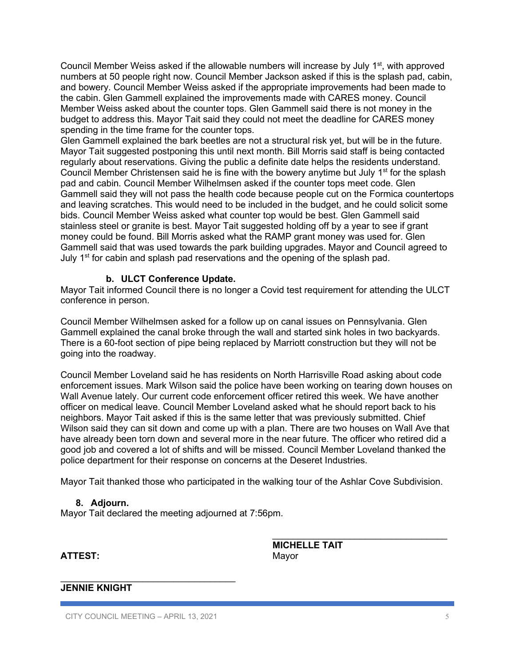Council Member Weiss asked if the allowable numbers will increase by July 1<sup>st</sup>, with approved numbers at 50 people right now. Council Member Jackson asked if this is the splash pad, cabin, and bowery. Council Member Weiss asked if the appropriate improvements had been made to the cabin. Glen Gammell explained the improvements made with CARES money. Council Member Weiss asked about the counter tops. Glen Gammell said there is not money in the budget to address this. Mayor Tait said they could not meet the deadline for CARES money spending in the time frame for the counter tops.

Glen Gammell explained the bark beetles are not a structural risk yet, but will be in the future. Mayor Tait suggested postponing this until next month. Bill Morris said staff is being contacted regularly about reservations. Giving the public a definite date helps the residents understand. Council Member Christensen said he is fine with the bowery anytime but July 1<sup>st</sup> for the splash pad and cabin. Council Member Wilhelmsen asked if the counter tops meet code. Glen Gammell said they will not pass the health code because people cut on the Formica countertops and leaving scratches. This would need to be included in the budget, and he could solicit some bids. Council Member Weiss asked what counter top would be best. Glen Gammell said stainless steel or granite is best. Mayor Tait suggested holding off by a year to see if grant money could be found. Bill Morris asked what the RAMP grant money was used for. Glen Gammell said that was used towards the park building upgrades. Mayor and Council agreed to July 1<sup>st</sup> for cabin and splash pad reservations and the opening of the splash pad.

#### **b. ULCT Conference Update.**

Mayor Tait informed Council there is no longer a Covid test requirement for attending the ULCT conference in person.

Council Member Wilhelmsen asked for a follow up on canal issues on Pennsylvania. Glen Gammell explained the canal broke through the wall and started sink holes in two backyards. There is a 60-foot section of pipe being replaced by Marriott construction but they will not be going into the roadway.

Council Member Loveland said he has residents on North Harrisville Road asking about code enforcement issues. Mark Wilson said the police have been working on tearing down houses on Wall Avenue lately. Our current code enforcement officer retired this week. We have another officer on medical leave. Council Member Loveland asked what he should report back to his neighbors. Mayor Tait asked if this is the same letter that was previously submitted. Chief Wilson said they can sit down and come up with a plan. There are two houses on Wall Ave that have already been torn down and several more in the near future. The officer who retired did a good job and covered a lot of shifts and will be missed. Council Member Loveland thanked the police department for their response on concerns at the Deseret Industries.

Mayor Tait thanked those who participated in the walking tour of the Ashlar Cove Subdivision.

#### **8. Adjourn.**

Mayor Tait declared the meeting adjourned at 7:56pm.

**ATTEST:** Mayor

**MICHELLE TAIT**

 $\overline{\phantom{a}}$  , where  $\overline{\phantom{a}}$  , where  $\overline{\phantom{a}}$  ,  $\overline{\phantom{a}}$  ,  $\overline{\phantom{a}}$  ,  $\overline{\phantom{a}}$  ,  $\overline{\phantom{a}}$  ,  $\overline{\phantom{a}}$  ,  $\overline{\phantom{a}}$  ,  $\overline{\phantom{a}}$  ,  $\overline{\phantom{a}}$  ,  $\overline{\phantom{a}}$  ,  $\overline{\phantom{a}}$  ,  $\overline{\phantom{a}}$  ,  $\overline{\phantom{a}}$  ,

## **JENNIE KNIGHT**

 $\mathcal{L}_\text{max}$  , and the set of the set of the set of the set of the set of the set of the set of the set of the set of the set of the set of the set of the set of the set of the set of the set of the set of the set of the